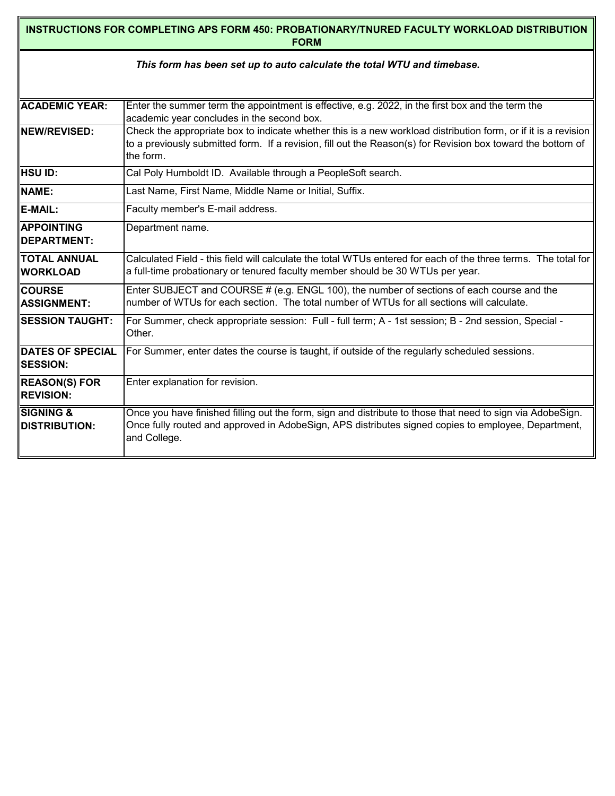| INSTRUCTIONS FOR COMPLETING APS FORM 450: PROBATIONARY/TNURED FACULTY WORKLOAD DISTRIBUTION<br><b>FORM</b> |                                                                                                                                                                                                                                            |  |  |  |  |  |  |  |  |  |
|------------------------------------------------------------------------------------------------------------|--------------------------------------------------------------------------------------------------------------------------------------------------------------------------------------------------------------------------------------------|--|--|--|--|--|--|--|--|--|
| This form has been set up to auto calculate the total WTU and timebase.                                    |                                                                                                                                                                                                                                            |  |  |  |  |  |  |  |  |  |
|                                                                                                            |                                                                                                                                                                                                                                            |  |  |  |  |  |  |  |  |  |
| <b>ACADEMIC YEAR:</b>                                                                                      | Enter the summer term the appointment is effective, e.g. 2022, in the first box and the term the<br>academic year concludes in the second box.                                                                                             |  |  |  |  |  |  |  |  |  |
| <b>INEW/REVISED:</b>                                                                                       | Check the appropriate box to indicate whether this is a new workload distribution form, or if it is a revision<br>to a previously submitted form. If a revision, fill out the Reason(s) for Revision box toward the bottom of<br>the form. |  |  |  |  |  |  |  |  |  |
| <b>HSU ID:</b>                                                                                             | Cal Poly Humboldt ID. Available through a PeopleSoft search.                                                                                                                                                                               |  |  |  |  |  |  |  |  |  |
| NAME:                                                                                                      | Last Name, First Name, Middle Name or Initial, Suffix.                                                                                                                                                                                     |  |  |  |  |  |  |  |  |  |
| E-MAIL:                                                                                                    | Faculty member's E-mail address.                                                                                                                                                                                                           |  |  |  |  |  |  |  |  |  |
| <b>IAPPOINTING</b><br><b>IDEPARTMENT:</b>                                                                  | Department name.                                                                                                                                                                                                                           |  |  |  |  |  |  |  |  |  |
| ITOTAL ANNUAL<br><b>IIWORKLOAD</b>                                                                         | Calculated Field - this field will calculate the total WTUs entered for each of the three terms. The total for<br>a full-time probationary or tenured faculty member should be 30 WTUs per year.                                           |  |  |  |  |  |  |  |  |  |
| <b>I</b> Icourse<br><b>IASSIGNMENT:</b>                                                                    | Enter SUBJECT and COURSE $#$ (e.g. ENGL 100), the number of sections of each course and the<br>number of WTUs for each section. The total number of WTUs for all sections will calculate.                                                  |  |  |  |  |  |  |  |  |  |
| <b>SESSION TAUGHT:</b>                                                                                     | For Summer, check appropriate session: Full - full term; A - 1st session; B - 2nd session, Special -<br>Other.                                                                                                                             |  |  |  |  |  |  |  |  |  |
| <b>DATES OF SPECIAL</b><br><b>ISESSION:</b>                                                                | For Summer, enter dates the course is taught, if outside of the regularly scheduled sessions.                                                                                                                                              |  |  |  |  |  |  |  |  |  |
| <b>REASON(S) FOR</b><br><b>REVISION:</b>                                                                   | Enter explanation for revision.                                                                                                                                                                                                            |  |  |  |  |  |  |  |  |  |
| <b>SIGNING &amp;</b><br><b>IDISTRIBUTION:</b>                                                              | Once you have finished filling out the form, sign and distribute to those that need to sign via AdobeSign.<br>Once fully routed and approved in AdobeSign, APS distributes signed copies to employee, Department,<br>and College.          |  |  |  |  |  |  |  |  |  |